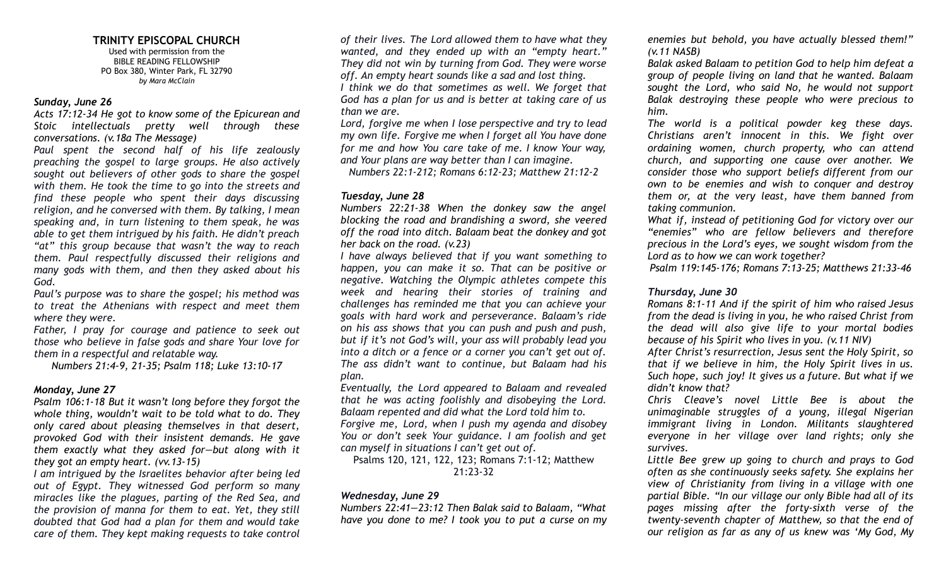# **TRINITY EPISCOPAL CHURCH**

Used with permission from the BIBLE READING FELLOWSHIP PO Box 380, Winter Park, FL 32790 *by Mara McClain*

#### *Sunday, June 26*

*Acts 17:12-34 He got to know some of the Epicurean and Stoic intellectuals pretty well through these conversations. (v.18a The Message)*

*Paul spent the second half of his life zealously preaching the gospel to large groups. He also actively sought out believers of other gods to share the gospel with them. He took the time to go into the streets and find these people who spent their days discussing religion, and he conversed with them. By talking, I mean speaking and, in turn listening to them speak, he was able to get them intrigued by his faith. He didn't preach "at" this group because that wasn't the way to reach them. Paul respectfully discussed their religions and many gods with them, and then they asked about his God.*

*Paul's purpose was to share the gospel; his method was to treat the Athenians with respect and meet them where they were.*

*Father, I pray for courage and patience to seek out those who believe in false gods and share Your love for them in a respectful and relatable way.*

*Numbers 21:4-9, 21-35; Psalm 118; Luke 13:10-17*

## *Monday, June 27*

*Psalm 106:1-18 But it wasn't long before they forgot the whole thing, wouldn't wait to be told what to do. They only cared about pleasing themselves in that desert, provoked God with their insistent demands. He gave them exactly what they asked for—but along with it they got an empty heart. (vv.13-15)*

*I am intrigued by the Israelites behavior after being led out of Egypt. They witnessed God perform so many miracles like the plagues, parting of the Red Sea, and the provision of manna for them to eat. Yet, they still doubted that God had a plan for them and would take care of them. They kept making requests to take control* *of their lives. The Lord allowed them to have what they wanted, and they ended up with an "empty heart." They did not win by turning from God. They were worse off. An empty heart sounds like a sad and lost thing.*

*I think we do that sometimes as well. We forget that God has a plan for us and is better at taking care of us than we are.*

*Lord, forgive me when I lose perspective and try to lead my own life. Forgive me when I forget all You have done for me and how You care take of me. I know Your way, and Your plans are way better than I can imagine.*

*Numbers 22:1-212; Romans 6:12-23; Matthew 21:12-2*

#### *Tuesday, June 28*

*Numbers 22:21-38 When the donkey saw the angel blocking the road and brandishing a sword, she veered off the road into ditch. Balaam beat the donkey and got her back on the road. (v.23)*

*I have always believed that if you want something to happen, you can make it so. That can be positive or negative. Watching the Olympic athletes compete this week and hearing their stories of training and challenges has reminded me that you can achieve your goals with hard work and perseverance. Balaam's ride on his ass shows that you can push and push and push, but if it's not God's will, your ass will probably lead you into a ditch or a fence or a corner you can't get out of. The ass didn't want to continue, but Balaam had his plan.*

*Eventually, the Lord appeared to Balaam and revealed that he was acting foolishly and disobeying the Lord. Balaam repented and did what the Lord told him to. Forgive me, Lord, when I push my agenda and disobey You or don't seek Your guidance. I am foolish and get can myself in situations I can't get out of.*

Psalms 120, 121, 122, 123; Romans 7:1-12; Matthew 21:23-32

# *Wednesday, June 29*

*Numbers 22:41—23:12 Then Balak said to Balaam, "What have you done to me? I took you to put a curse on my*

*enemies but behold, you have actually blessed them!" (v.11 NASB)*

*Balak asked Balaam to petition God to help him defeat a group of people living on land that he wanted. Balaam sought the Lord, who said No, he would not support Balak destroying these people who were precious to him.*

*The world is a political powder keg these days. Christians aren't innocent in this. We fight over ordaining women, church property, who can attend church, and supporting one cause over another. We consider those who support beliefs different from our own to be enemies and wish to conquer and destroy them or, at the very least, have them banned from taking communion.*

*What if, instead of petitioning God for victory over our "enemies" who are fellow believers and therefore precious in the Lord's eyes, we sought wisdom from the Lord as to how we can work together?*

*Psalm 119:145-176; Romans 7:13-25; Matthews 21:33-46*

## *Thursday, June 30*

*Romans 8:1-11 And if the spirit of him who raised Jesus from the dead is living in you, he who raised Christ from the dead will also give life to your mortal bodies because of his Spirit who lives in you. (v.11 NIV)*

*After Christ's resurrection, Jesus sent the Holy Spirit, so that if we believe in him, the Holy Spirit lives in us. Such hope, such joy! It gives us a future. But what if we didn't know that?*

*Chris Cleave's novel Little Bee is about the unimaginable struggles of a young, illegal Nigerian immigrant living in London. Militants slaughtered everyone in her village over land rights; only she survives.*

*Little Bee grew up going to church and prays to God often as she continuously seeks safety. She explains her view of Christianity from living in a village with one partial Bible. "In our village our only Bible had all of its pages missing after the forty-sixth verse of the twenty-seventh chapter of Matthew, so that the end of our religion as far as any of us knew was 'My God, My*